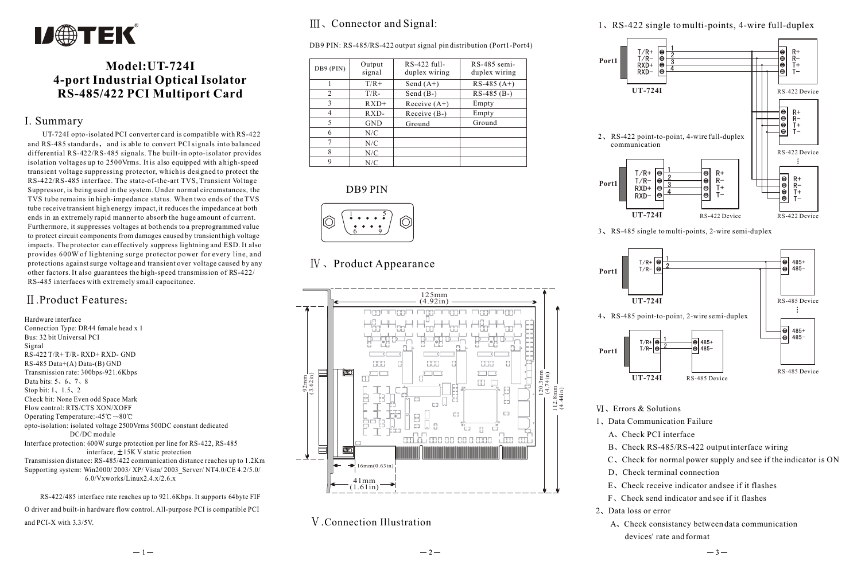

## **Model:UT-724I 4-port Industrial Optical Isolator RS-485/422 PCI Multiport Card**

#### I. Summary

 UT-724I opto-isolated PCI converter card is compatible with RS-422 and RS-485 standards, and is able to convert PCI signals into balanced differential RS-422/RS-485 signals. The built-in opto-isolator provides isolation voltages up to 2500Vrms. It is also equipped with a high-speed transient voltage suppressing protector, which is designed to protect the RS-422/RS-485 interface. The state-of-the-art TVS, Transient Voltage Suppressor, is being used in the system. Under normal circumstances, the TVS tube remains in high-impedance status. When two ends of the TVS tube receive transient high energy impact, it reduces the impedance at both ends in an extremely rapid manner to absorb the huge amount of current. Furthermore, it suppresses voltages at both ends to a preprogrammed value to protect circuit components from damages caused by transient high voltage impacts. The protector can effectively suppress lightning and ESD. It also provides 600W of lightening surge protector power for every line, and protections against surge voltage and transient over voltage caused by any other factors. It also guarantees the high-speed transmission of RS-422/ RS-485 interfaces with extremely small capacitance.

### .Product Features

Hardware interface Connection Type: DR44 female head x 1 Bus: 32 bit Universal PCI Signal RS-422 T/R+ T/R- RXD+ RXD- GND RS-485 Data+(A) Data-(B) GND Transmission rate: 300bps-921.6Kbps Data bits:  $5, 6, 7, 8$ Stop bit:  $1, 1.5, 2$ Check bit: None Even odd Space Mark Flow control: RTS/CTS XON/XOFF Operating Temperature:-45 $\degree \text{C} \sim 80 \degree \text{C}$ opto-isolation: isolated voltage 2500Vrms 500DC constant dedicated DC/DC module Interface protection: 600W surge protection per line for RS-422, RS-485 interface,  $\pm$ 15K V static protection Transmission distance: RS-485/422 communication distance reaches up to 1.2Km Supporting system: Win2000/ 2003/ XP/ Vista/ 2003\_Server/ NT4.0/CE 4.2/5.0/ 6.0/Vxworks/Linux2.4.x/2.6.x

 RS-422/485 interface rate reaches up to 921.6Kbps. It supports 64byte FIF O driver and built-in hardware flow control. All-purpose PCI is compatible PCI and PCI-X with 3.3/5V.

## III, Connector and Signal:

DB9 PIN: RS-485/RS-422 output signal pin distribution (Port1-Port4)

| DB9 (PIN)      | Output<br>signal | RS-422 full-<br>duplex wiring | RS-485 semi-<br>duplex wiring |
|----------------|------------------|-------------------------------|-------------------------------|
|                | $T/R +$          | Send $(A+)$                   | $RS-485(A+)$                  |
| $\overline{c}$ | $T/R -$          | Send $(B-)$                   | $RS-485$ (B-)                 |
| 3              | $RXD+$           | Receive $(A+)$                | Empty                         |
|                | $RXD-$           | Receive (B-)                  | Empty                         |
| 5              | <b>GND</b>       | Ground                        | Ground                        |
| 6              | N/C              |                               |                               |
|                | N/C              |                               |                               |
| 8              | N/C              |                               |                               |
| Q              | N/C              |                               |                               |





# $IV.$  Product Appearance



.Connection Illustration

1 RS-422 single to multi-points, 4-wire full-duplex



3 RS-485 single to multi-points, 2-wire semi-duplex



- Errors & Solutions
- 1. Data Communication Failure
	- A. Check PCI interface
	- B. Check RS-485/RS-422 output interface wiring
	- $C<sub>1</sub>$  Check for normal power supply and see if the indicator is ON
	- D. Check terminal connection
	- E Check receive indicator and see if it flashes
	- F Check send indicator and see if it flashes
- 2. Data loss or error
	- A. Check consistancy between data communication devices' rate and format